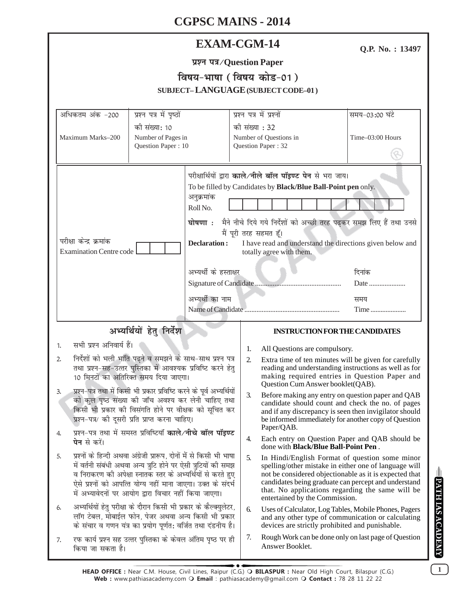| <b>EXAM-CGM-14</b> |  |
|--------------------|--|
|--------------------|--|

Q.P. No.: 13497

# प्रश्न पत्र/Question Paper विषय-भाषा (विषय कोड-01)

| SUBJECT-LANGUAGE (SUBJECT CODE-01)                                                                                                                                                                                                                                                                                                                                                                                          |                                                                                                                                                                                          |                                                                                                                                           |                                            |                                                                                                                 |  |                                                                                                                                                                                                                                                                               |                                                                                                                                                                                                                          |
|-----------------------------------------------------------------------------------------------------------------------------------------------------------------------------------------------------------------------------------------------------------------------------------------------------------------------------------------------------------------------------------------------------------------------------|------------------------------------------------------------------------------------------------------------------------------------------------------------------------------------------|-------------------------------------------------------------------------------------------------------------------------------------------|--------------------------------------------|-----------------------------------------------------------------------------------------------------------------|--|-------------------------------------------------------------------------------------------------------------------------------------------------------------------------------------------------------------------------------------------------------------------------------|--------------------------------------------------------------------------------------------------------------------------------------------------------------------------------------------------------------------------|
| अधिकतम अंक -200<br>Maximum Marks-200                                                                                                                                                                                                                                                                                                                                                                                        | प्रश्न पत्र में पृष्ठों<br>की संख्या: 10<br>Number of Pages in                                                                                                                           |                                                                                                                                           | प्रश्न पत्र में प्रश्नों<br>की संख्या : 32 | Number of Questions in                                                                                          |  |                                                                                                                                                                                                                                                                               | समय-03:00 घंटे<br>Time-03:00 Hours                                                                                                                                                                                       |
| Question Paper: 10                                                                                                                                                                                                                                                                                                                                                                                                          |                                                                                                                                                                                          | Question Paper: 32                                                                                                                        |                                            |                                                                                                                 |  |                                                                                                                                                                                                                                                                               |                                                                                                                                                                                                                          |
|                                                                                                                                                                                                                                                                                                                                                                                                                             |                                                                                                                                                                                          | परीक्षार्थियों द्वारा काले/नीले बॉल पॉइण्ट पेन से भरा जाय।<br>To be filled by Candidates by Black/Blue Ball-Point pen only.<br>अनुक्रमांक |                                            |                                                                                                                 |  |                                                                                                                                                                                                                                                                               |                                                                                                                                                                                                                          |
|                                                                                                                                                                                                                                                                                                                                                                                                                             |                                                                                                                                                                                          | Roll No.                                                                                                                                  |                                            |                                                                                                                 |  |                                                                                                                                                                                                                                                                               | घोषणा: मैने नीचे दिये गये निर्देशों को अच्छी तरह पढ़कर समझ लिए हैं तथा उनसे                                                                                                                                              |
| परीक्षा केन्द्र क्रमांक<br><b>Declaration:</b><br><b>Examination Centre code</b>                                                                                                                                                                                                                                                                                                                                            |                                                                                                                                                                                          |                                                                                                                                           |                                            | मैं पूरी तरह सहमत हूँ।<br>I have read and understand the directions given below and<br>totally agree with them. |  |                                                                                                                                                                                                                                                                               |                                                                                                                                                                                                                          |
| अभ्यर्थी के हस्ताक्षर<br>अभ्यर्थी का नाम                                                                                                                                                                                                                                                                                                                                                                                    |                                                                                                                                                                                          |                                                                                                                                           |                                            |                                                                                                                 |  | दिनांक<br>Date                                                                                                                                                                                                                                                                |                                                                                                                                                                                                                          |
|                                                                                                                                                                                                                                                                                                                                                                                                                             |                                                                                                                                                                                          |                                                                                                                                           |                                            |                                                                                                                 |  |                                                                                                                                                                                                                                                                               | समय<br>Time                                                                                                                                                                                                              |
|                                                                                                                                                                                                                                                                                                                                                                                                                             | अभ्यर्थियों हेतु निर्देश                                                                                                                                                                 |                                                                                                                                           |                                            |                                                                                                                 |  |                                                                                                                                                                                                                                                                               | <b>INSTRUCTION FOR THE CANDIDATES</b>                                                                                                                                                                                    |
| सभी प्रश्न अनिवार्य हैं।<br>1.                                                                                                                                                                                                                                                                                                                                                                                              |                                                                                                                                                                                          |                                                                                                                                           | 1.                                         | All Questions are compulsory.                                                                                   |  |                                                                                                                                                                                                                                                                               |                                                                                                                                                                                                                          |
| निर्देशों को भली भांति पढ़ने व समझने के साथ-साथ प्रश्न पत्र<br>2.<br>तथा प्रश्न-सह-उत्तर पुस्तिका में आवश्यक प्रविष्टि करने हेतु<br>10 मिनटों का अतिरिक्त समय दिया जाएगा।<br>प्रश्न-पत्र तथा में किसी भी प्रकार प्रविष्टि करने के पूर्व अभ्यर्थियों<br>3.<br>को कुल पृष्ठ संख्या की जाँच अवश्य कर लेनी चाहिए तथा<br>किसी भी प्रकार की विसंगति होने पर वीक्षक को सूचित कर<br>प्रश्न-पत्र/ की दूसरी प्रति प्राप्त करना चाहिए। |                                                                                                                                                                                          |                                                                                                                                           | 2.                                         |                                                                                                                 |  |                                                                                                                                                                                                                                                                               | Extra time of ten minutes will be given for carefully<br>reading and understanding instructions as well as for<br>making required entries in Question Paper and<br>Question Cum Answer booklet(QAB).                     |
|                                                                                                                                                                                                                                                                                                                                                                                                                             |                                                                                                                                                                                          |                                                                                                                                           | $\mathfrak{Z}$ .                           | Paper/QAB.                                                                                                      |  |                                                                                                                                                                                                                                                                               | Before making any entry on question paper and QAB<br>candidate should count and check the no. of pages<br>and if any discrepancy is seen then invigilator should<br>be informed immediately for another copy of Question |
| 4.<br><b>पेन</b> से करें।                                                                                                                                                                                                                                                                                                                                                                                                   | प्रश्न-पत्र तथा में समस्त प्रविष्टियाँ <b>काले/नीचे बॉल पॉइण्ट</b>                                                                                                                       |                                                                                                                                           | 4.                                         |                                                                                                                 |  |                                                                                                                                                                                                                                                                               | Each entry on Question Paper and QAB should be<br>done with <b>Black/Blue Ball-Point Pen</b> .                                                                                                                           |
| प्रश्नों के हिन्दी अथवा अंग्रेजी प्रारूप, दोनों में से किसी भी भाषा<br>5.<br>में वर्तनी संबंधी अथवा अन्य त्रूटि होने पर ऐसी त्रुटियों की समझ<br>व निराकरण की अपेक्षा स्नातक स्तर के अभ्यर्थियों से करते हुए<br>ऐसे प्रश्नों को आपत्ति योग्य नहीं माना जाएगा। उक्त के संदर्भ<br>में अभ्यावेदनों पर आयोग द्वारा विचार नहीं किया जाएगा।                                                                                        |                                                                                                                                                                                          | 5.                                                                                                                                        | entertained by the Commission.             |                                                                                                                 |  | In Hindi/English Format of question some minor<br>spelling/other mistake in either one of language will<br>not be considered objectionable as it is expected that<br>candidates being graduate can percept and understand<br>that. No applications regarding the same will be |                                                                                                                                                                                                                          |
| 6.                                                                                                                                                                                                                                                                                                                                                                                                                          | अभ्यर्थियों हेतु परीक्षा के दौरान किसी भी प्रकार के कैल्क्युलेटर,<br>लॉग टेबल, मोबाईल फोन, पेजर अथवा अन्य किसी भी प्रकार<br>के संचार व गणन यंत्र का प्रयोग पूर्णत: वर्जित तथा दंडनीय है। |                                                                                                                                           | 6.                                         |                                                                                                                 |  |                                                                                                                                                                                                                                                                               | Uses of Calculator, Log Tables, Mobile Phones, Pagers<br>and any other type of communication or calculating<br>devices are strictly prohibited and punishable.                                                           |
| रफ कार्य प्रश्न सह उत्तर पुस्तिका के केवल अंतिम पृष्ठ पर ही<br>7.<br>किया जा सकता है।                                                                                                                                                                                                                                                                                                                                       |                                                                                                                                                                                          |                                                                                                                                           | 7.                                         | Answer Booklet.                                                                                                 |  |                                                                                                                                                                                                                                                                               | Rough Work can be done only on last page of Question                                                                                                                                                                     |

 $\boxed{1}$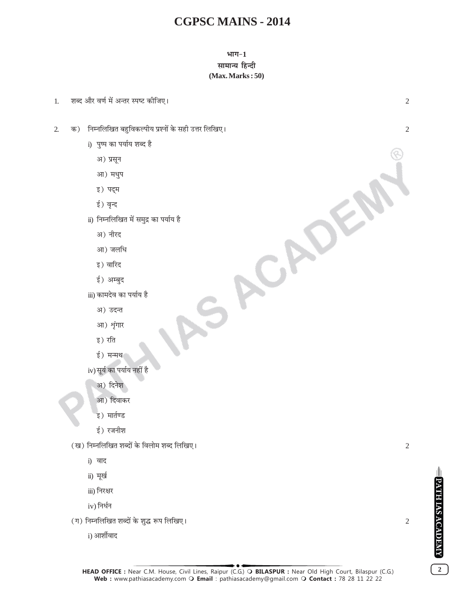### भाग $-1$ सामान्य हिन्दी  $(Max. Marks:50)$



- iii) निरक्षर
- $iv)$  निर्धन

(ग) निम्नलिखित शब्दों के शुद्ध रूप लिखिए।

i) आर्शीवाद



 $\overline{2}$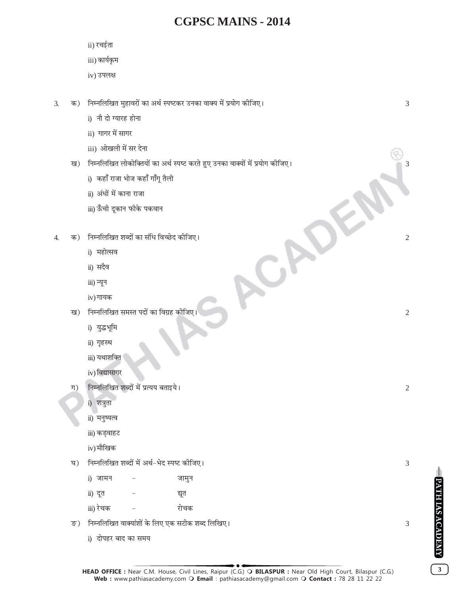ACADE

- ii) रचईता
- iii) कार्यकृम
- iv) उपलक्ष
- क) निम्नलिखित मुहावरों का अर्थ स्पष्टकर उनका वाक्य में प्रयोग कीजिए।  $\overline{3}$ .
	- i) नौ दो ग्यारह होना
	- ii) गागर में सागर
	- iii) ओखली में सर देना
	- ख) निम्नलिखित लोकोक्तियों का अर्थ स्पष्ट करते हुए उनका वाक्यों में प्रयोग कोजिए।
		- i) कहाँ राजा भोज कहाँ गाँगू तैली
		- ii) अंधों में काना राजा
		- iii) ऊँची दूकान फीके पकवान
- क) निम्नलिखित शब्दों का संधि विच्छेद कीजिए।  $\overline{4}$ 
	- i) महोत्सव
	- ii) सदैव
	- iii) न्यून
	- iv) गायक
	- ख) निम्नलिखित समस्त पदों का विग्रह कोजिए।
		- i) युद्धभूमि
		- ii) गृहस्थ
		- iii) यथाशक्ति
		- iv) विद्यासागर
	- निम्नलिखित शब्दों में प्रत्यय बताइये।  $\pi$ )
		- i) शत्रुता
		- ii) मनुष्यत्व
		- iii) कड़वाहट
		- iv) मौखिक
	- घ) निम्नलिखित शब्दों में अर्थ-भेद स्पष्ट कीजिए।

i) जामन जामुन ii) दत द्युत iii) रेचक रोचक

- ङ) निम्नलिखित वाक्यांशों के लिए एक सटीक शब्द लिखिए।
	- i) दोपहर बाद का समय

 $\sqrt{2}$ 

 $\overline{2}$ 

3

3

 $\overline{2}$ 

**PATH IAS ACADEMY** 

 $\mathbf{3}$ 

3

3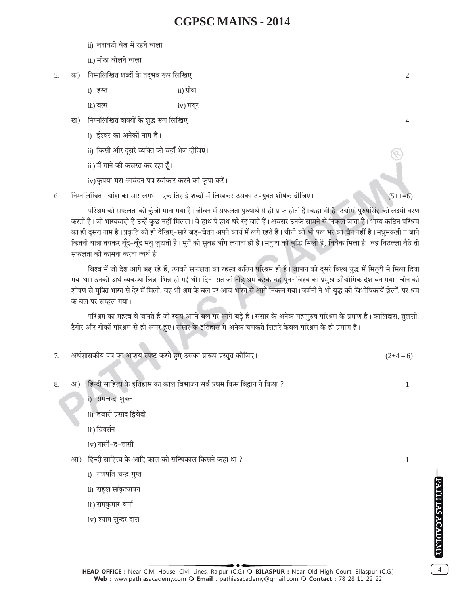ii) बनावटी वेश में रहने वाला

iii) मीठा बोलने वाला

- क) निम्नलिखित शब्दों के तद्भव रूप लिखिए। 5.
	- i) हस्त ii) ग्रीवा
	- iii) वत्स  $iv)$  मयुर
	- ख) निम्नलिखित वाक्यों के शुद्ध रूप लिखिए।
		- i) ईश्वर का अनेकों नाम हैं।
		- ii) किसी और दसरे व्यक्ति को वहाँ भेज दीजिए।
		- iii) मैं गाने की कसरत कर रहा हूँ।
		- iv) कृपया मेरा आवेदन पत्र स्वीकार करने की कृपा करें।
- निम्नलिखित गद्यांश का सार लगभग एक तिहाई शब्दों में लिखकर उसका उपयुक्त शीर्षक दीजिए। 6.

परिश्रम को सफलता की कुंजी माना गया है। जीवन में सफलता पुरुषार्थ से ही प्राप्त होती है। कहा भी है-उद्योगी पुरुषसिंह को लक्ष्मी वरण करती है। जो भाग्यवादी है उन्हें कुछ नहीं मिलता। वे हाथ पे हाथ धरे रह जाते हैं। अवसर उनके सामने से निकल जाता है। भाग्य कठिन परिश्रम का ही दुसरा नाम है। प्रकृति को ही देखिए-सारे जड-चेतन अपने कार्य में लगे रहते हैं। चीटी को भी पल भर का चैन नहीं है। मधुमक्खी न जाने कितनी यात्रा तयकर बुँद-बुँद मध जुटाती है। मुर्गे को सुबह बाँग लगाना ही है। मनुष्य को बुद्धि मिली है, विवेक मिला है। वह निठल्ला बैठे तो सफलता की कामना करना व्यर्थ है।

विश्व में जो देश आगे बढ़ रहे हैं, उनकी सफलता का रहस्य कठिन परिश्रम ही है। जापान को दूसरे विश्व युद्ध में मिट्टी मे मिला दिया गया था। उनकी अर्थ व्यवस्था छिन्न-भिन्न हो गई थी। दिन–रात जी तोड़ श्रम करके वह पुन: विश्व का प्रमुख औद्योगिक देश बन गया। चीन को शोषण से मुक्ति भारत से देर में मिली, वह भी श्रम के बल पर आज भारत से आगे निकल गया। जर्मनी ने भी युद्ध की विभीषिकायें झेलीं, पर श्रम के बल पर सम्हल गया।

परिश्रम का महत्व वे जानते हैं जो स्वयं अपने बल पर आगे बढ़े हैं। संसार के अनेक महापुरुष परिश्रम के प्रमाण हैं। कालिदास, तुलसी, टैगोर और गोर्की परिश्रम से ही अमर हुए। संसार के इतिहास में अनेक चमकते सितारे केवल परिश्रम के ही प्रमाण है।

- अर्धशासकीय पत्र का आशय स्पष्ट करते हुए उसका प्रारूप प्रस्तुत कीजिए।  $7.$  $(2+4=6)$
- अ) हिन्दी साहित्य के इतिहास का काल विभाजन सर्व प्रथम किस विद्वान ने किया ?  $\mathbf{Q}$ 
	- i) रामचन्द्र शक्ल
	- ii) हजारी प्रसाद द्विवेदी
	- iii) ग्रियर्सन
	- iv) गार्सो-द-त्तासी
	- आ) हिन्दी साहित्य के आदि काल को सन्धिकाल किसने कहा था ?
		- i) गणपति चन्द्र गुप्त
		- ii) राहुल सांकृत्यायन
		- iii) रामकुमार वर्मा
		- iv) श्याम सुन्दर दास

 $\overline{2}$ 

 $\overline{4}$ 

 $(5+1=6)$ 

 $\mathbf{1}$ 

 $\mathbf{1}$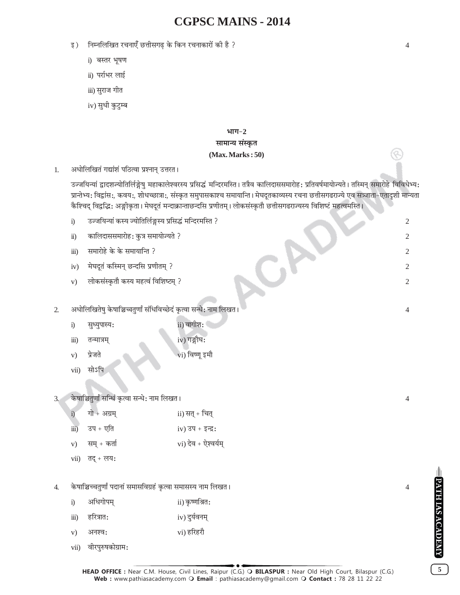- इ) निम्नलिखित रचनाएँ छत्तीसगढ के किन रचनाकारों की है ?
	- i) बस्तर भूषण
	- ii) पर्राभर लाई
	- iii) सुराज गीत
	- iv) सुधी कुटुम्ब

### भाग $-2$ सामान्य संस्कृत

#### $(Max. Marks:50)$

अधोलिखितं गद्यांशं पठित्वा प्रश्नान् उत्तरत।  $1.$ 

3.

उज्जयिन्यां द्वादशज्योतिर्लिङ्गेषु महाकालेश्वरस्य प्रसिद्धं मन्दिरमस्ति । तत्रैव कालिदाससमारोह: प्रतिवर्षमायोज्यते । तस्मिन् समारोहे विविधेभ्य: प्रान्तेभ्य: विद्वांस:, कवय:, शोधच्छात्रा:, संस्कृत समुपासकाश्च समायान्ति । मेघदूतकाव्यस्य रचना छत्तीसगढराज्ये एव सत्र्जाता-एतादृशी मान्यता कैश्चिद् विद्वद्भिः अङ्गीकृता । मेघदूतं मन्दाक्रान्ताछन्दसि प्रणीतम् । लोकसंस्कृतौ छत्तीसगढराज्यस्य विशिष्टं महत्वमस्ति ।

उज्जयिन्यां कस्य ज्योतिर्लिङ्गस्य प्रसिद्धं मन्दिरमस्ति ?  $i)$  $\overline{2}$ कालिदाससमारोह: कुत्र समायोज्यते ?  $\ddot{\textbf{i}}$  $\overline{2}$ समारोहे के के समायान्ति ?  $\dddot{\mathbf{m}}$  $\overline{2}$ मेघदूतं कस्मिन् छन्दसि प्रणीतम् ?  $iv)$  $\mathfrak{2}$ लोकसंस्कृतौ कस्य महत्वं विशिष्टम् ?  $V)$  $\overline{2}$ अधोलिखितेषु केषाञ्चिच्चतुर्णां संधिविच्छेदं कृत्वा सन्धे: नाम लिखत ।  $2.$  $\overline{4}$ ii) वागीश:  $\ddot{1}$ सुध्युपास्य: iv) गङ्गौघ:  $\dddot{\mathbf{i}}$ तन्मात्रम प्रेजते vi) विष्णू इमौ  $V)$  $vii)$ सोऽपि केषाञ्चितूर्णां सन्धिं कृत्वा सन्धे: नाम लिखत ।  $\overline{4}$ गो + अग्रम् ii) सत् + चित्  $\ddot{1}$ उप + एति  $\overline{111}$  $iv)$  उप + इन्द्र: vi) देव + ऐश्वर्यम् सम् + कर्ता  $V)$ तद् + लय:  $vii)$ केषाञ्चिच्चतुर्णां पदानां समासविग्रहं कृत्वा समासस्य नाम लिखत ।  $\overline{4}$ .  $\overline{4}$ अधिगोपम ii) कृष्णश्रित:  $i)$ iv) दुर्यवनम् हरित्रात:  $\dddot{\text{iii}})$  $V)$ अनश्व: vi) हरिहरौ वीरपुरुषकोग्राम:  $vii)$ 

**PATH IAS ACADEMY** 

 $\overline{5}$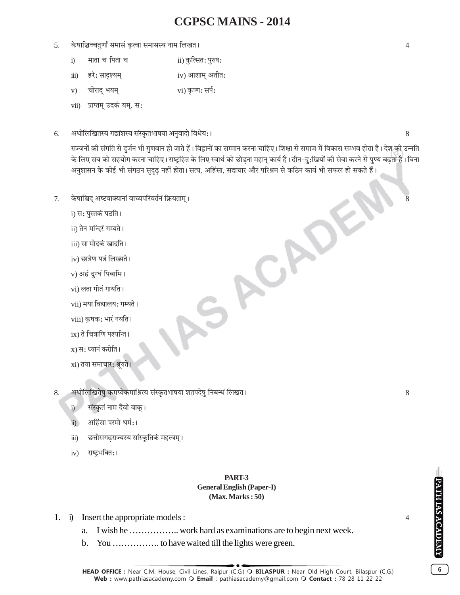- 5. केषाञ्चिच्चतुर्णां समासं कृत्वा समासस्य नाम लिखत ।
	- माता च पिता च ii) कुत्सित: पुरुष:  $i)$
	- iv) आशाम् अतीत: हरे: सादृश्यम्  $\dddot{\text{iii}})$
	- चोराद् भयम् vi) कृष्ण: सर्प:  $V)$
	- vii) प्राप्तम् उदकं यम्, स:
- अधोलिखितस्य गद्यांशस्य संस्कृतभाषया अनुवादो विधेय:। 6.

सज्जनों की संगति से दुर्जन भी गुणवान हो जाते हैं। विद्वानों का सम्मान करना चाहिए। शिक्षा से समाज में विकास सम्भव होता है। देश की उन्नति के लिए सब को सहयोग करना चाहिए। राष्ट्रहित के लिए स्वार्थ को छोडना महान् कार्य है। दीन–दु:खियों की सेवा करने से पुण्य बढता है। बिना अनुशासन के कोई भी संगठन सुदृढ नहीं होता। सत्य, अहिंसा, सदाचार और परिश्रम से कठिन कार्य भी सफल हो सकते हैं।

SACADE

- केषाञ्चिद् अष्टवाक्यानां वाच्यपरिवर्तनं क्रियताम् ।  $7.$ 
	- i) स: पुस्तकं पठति ।
	- ii) तेन मन्दिरं गम्यते ।
	- iii) सा मोदकं खादति ।
	- iv) छात्रेण पत्रं लिख्यते ।
	- v) अहं दुग्धं पिबामि।
	- vi) लता गीतं गायति ।
	- vii) मया विद्यालय: गम्यते ।
	- viii) कृषक: भारं नयति ।
	- ix) ते चित्राणि पश्यन्ति ।
	- $x)$  स: ध्यानं करोति ।
	- xi) तया समाचार: श्रूयते ।
- अधोलिखितेषु कमप्येकमाश्रित्य संस्कृतभाषया शतपदेषु निबन्धं लिखत । 8.
	- संस्कृतं नाम दैवी वाक् ।  $i$
	- अहिंसा परमो धर्म:।  $\ddot{\mathbf{n}}$
	- छत्तीसगढ्राज्यस्य सांस्कृतिकं महत्वम् ।  $\dddot{\mathbf{u}}$
	- राष्ट्रभक्ति:।  $iv)$

#### PART-3 **General English (Paper-I)**  $(Max. Marks: 50)$

- 1. i) Insert the appropriate models :
	-
	- $\mathbf{b}$ .

8

 $\overline{4}$ 

 $\boldsymbol{6}$ 

8

 $\overline{4}$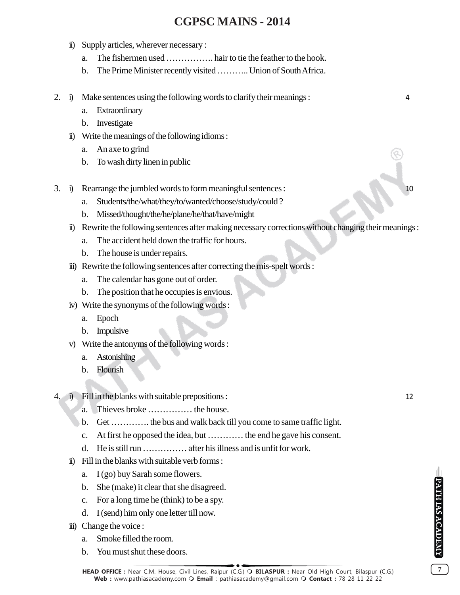- ii) Supply articles, wherever necessary :
	- a. The fishermen used ……………. hair to tie the feather to the hook.
	- b. The Prime Minister recently visited ……….. Union of South Africa.
- 2. i) Make sentences using the following words to clarify their meanings : 4
	- a. Extraordinary
	- b. Investigate
	- ii) Write the meanings of the following idioms :
		- a. An axe to grind
		- b. To wash dirty linen in public
- 3. i) Rearrange the jumbled words to form meaningful sentences :
	- a. Students/the/what/they/to/wanted/choose/study/could ?
	- b. Missed/thought/the/he/plane/he/that/have/might
	- ii) Rewrite the following sentences after making necessary corrections without changing their meanings :
		- a. The accident held down the traffic for hours.
		- b. The house is under repairs.
	- iii) Rewrite the following sentences after correcting the mis-spelt words :
		- a. The calendar has gone out of order.
		- b. The position that he occupies is envious.
	- iv) Write the synonyms of the following words :
		- a. Epoch
		- b. Impulsive
	- v) Write the antonyms of the following words :
		- a. Astonishing
		- b. Flourish
- 4. i) Fill in the blanks with suitable prepositions : 12
	- a. Thieves broke …………… the house.
	- b. Get …………. the bus and walk back till you come to same traffic light.
	- c. At first he opposed the idea, but ………… the end he gave his consent.
	- d. He is still run …………… after his illness and is unfit for work.
	- ii) Fill in the blanks with suitable verb forms :
		- a. I (go) buy Sarah some flowers.
		- b. She (make) it clear that she disagreed.
		- c. For a long time he (think) to be a spy.
		- d. I (send) him only one letter till now.
	- iii) Change the voice :
		- a. Smoke filled the room.
		- b. You must shut these doors.

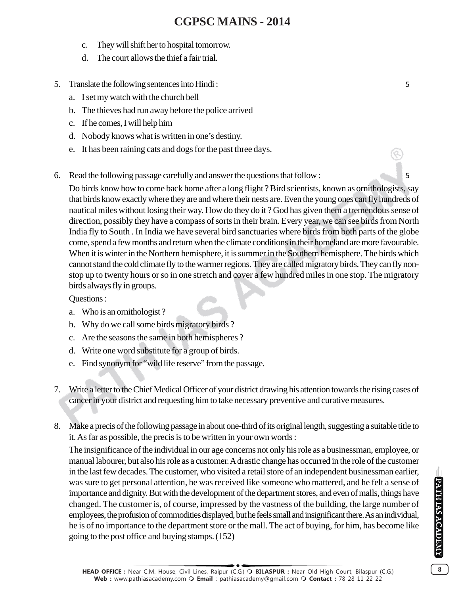- c. They will shift her to hospital tomorrow.
- d. The court allows the thief a fair trial.
- 5. Translate the following sentences into Hindi : 5
	- a. I set my watch with the church bell
	- b. The thieves had run away before the police arrived
	- c. If he comes, I will help him
	- d. Nobody knows what is written in one's destiny.
	- e. It has been raining cats and dogs for the past three days.
- 6. Read the following passage carefully and answer the questions that follow : 5

Do birds know how to come back home after a long flight ? Bird scientists, known as ornithologists, say that birds know exactly where they are and where their nests are. Even the young ones can fly hundreds of nautical miles without losing their way. How do they do it ? God has given them a tremendous sense of direction, possibly they have a compass of sorts in their brain. Every year, we can see birds from North India fly to South . In India we have several bird sanctuaries where birds from both parts of the globe come, spend a few months and return when the climate conditions in their homeland are more favourable. When it is winter in the Northern hemisphere, it is summer in the Southern hemisphere. The birds which cannot stand the cold climate fly to the warmer regions. They are called migratory birds. They can fly nonstop up to twenty hours or so in one stretch and cover a few hundred miles in one stop. The migratory birds always fly in groups.

### Questions :

- a. Who is an ornithologist ?
- b. Why do we call some birds migratory birds ?
- c. Are the seasons the same in both hemispheres ?
- d. Write one word substitute for a group of birds.
- e. Find synonym for "wild life reserve" from the passage.
- 7. Write a letter to the Chief Medical Officer of your district drawing his attention towards the rising cases of cancer in your district and requesting him to take necessary preventive and curative measures.
- 8. Make a precis of the following passage in about one-third of its original length, suggesting a suitable title to it. As far as possible, the precis is to be written in your own words :

The insignificance of the individual in our age concerns not only his role as a businessman, employee, or manual labourer, but also his role as a customer. A drastic change has occurred in the role of the customer in the last few decades. The customer, who visited a retail store of an independent businessman earlier, was sure to get personal attention, he was received like someone who mattered, and he felt a sense of importance and dignity. But with the development of the department stores, and even of malls, things have changed. The customer is, of course, impressed by the vastness of the building, the large number of employees, the profusion of commodities displayed, but he feels small and insignificant there. As an individual, he is of no importance to the department store or the mall. The act of buying, for him, has become like going to the post office and buying stamps. (152)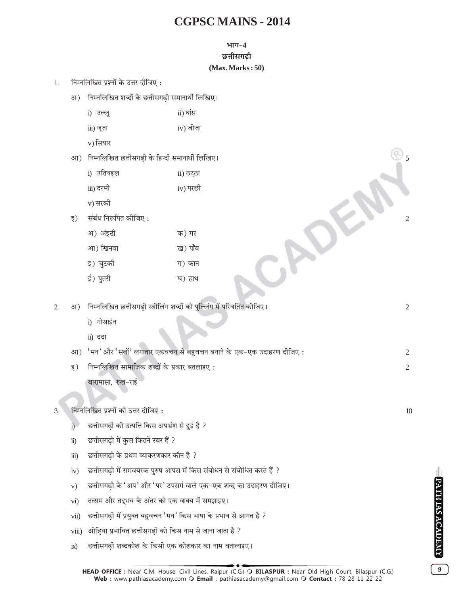#### **÷ʪ-4**

**छत्तीसगढी** 

#### **(Max. Marks : 50)**

- 1. निम्नलिखित प्रश्नों के उत्तर दीजिए:
	- अ) निम्नलिखित शब्दों के छत्तीसगढ़ी समानार्थी लिखिए।
		- i) उल्लू ii) घांस
		- $iii)$  जूता  $iv)$  जीजा
		- v) सियार
	- आ) निम्नलिखित छत्तीसगढी के हिन्दी समानार्थी लिखिए।

| i) उतियइल | ii) ठट्ठा |
|-----------|-----------|
| iii) दरमी | iv) परछी  |
| v) सरकी   |           |

|    | iii) दरमी            | iv) परछी |  |
|----|----------------------|----------|--|
|    | v) सरकी              |          |  |
| इ) | संबंध निरूपित कीजिए: |          |  |
|    | अ) अंइठी             | क) गर    |  |
|    | आ) खिनवा             | ख) पाँव  |  |
|    | इ) चुटकी             | ग) कान   |  |
|    | ई) पुतरी             | घ) हाथ   |  |
|    |                      |          |  |

- 2. •) ÁŸêŸÁ‹Áπà ¿UûÊË'ª…∏UË SòÊËÁ‹¥ª ‡ÊéŒÊ¥ ∑§Ê ¬ÈÁÀ‹¥ª ◊¥ ¬Á⁄UflÁøà ∑§ËÁ¡∞– 2 i) गोसाईन ii) ददा
	- आ) 'मन'और'सबों' लगातार एकवचन से बहुवचन बनाने के एक-एक उदाहरण दीजिए :  $\,$
	- ßU) ÁŸêŸÁ‹Áπà 'Ê◊ÊÁ¡∑§ ‡ÊéŒÊ¥ ∑§ ¬˝∑§Ê⁄U 'ËÊßU∞ 2

बारामासा, रुख-राई

### 3. ÁŸêŸÁ‹Áπà ¬˝‡ŸÊ¥ ∑§Ê ©UûÊ⁄U ŒËÁ¡∞ — 10

- i) हिं छत्तीसगढी की उत्पत्ति किस अपभ्रंश से हुई है ?
- ii) छत्तीसगढी में कुल कितने स्वर हैं ?
- iii) छत्तीसगढी के प्रथम व्याकरणकार कौन है ?
- iv) छत्तीसगढी में समवयस्क पुरुष आपस में किस संबोधन से संबोधित करते हैं ?
- v) छत्तीसगढी के 'अप' और 'पर' उपसर्ग वाले एक-एक शब्द का उदाहरण दीजिए।
- vi) तत्सम और तद्भव के अंतर को एक वाक्य में समझाइए।
- vii) छत्तीसगढ़ी में प्रयुक्त बहुवचन 'मन' किस भाषा के प्रभाव से आगत है ?
- viii) ओडिया प्रभावित छत्तीसगढी को किस नाम से जाना जाता है ?
- ix) छत्तीसगढी शब्दकोश के किसी एक कोशकार का नाम बतालाइए।

**9**